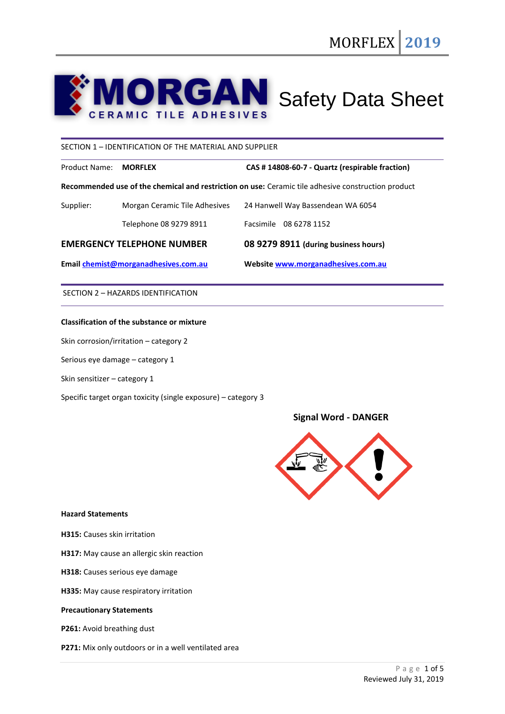# **MORGAN** Safety Data Sheet

## SECTION 1 – IDENTIFICATION OF THE MATERIAL AND SUPPLIER

Product Name: **MORFLEX CAS # 14808-60-7 - Quartz (respirable fraction)**

**Recommended use of the chemical and restriction on use:** Ceramic tile adhesive construction product

| Supplier: | Morgan Ceramic Tile Adhesives | 24 Hanwell Way Bassendean WA 6054 |
|-----------|-------------------------------|-----------------------------------|
|           |                               |                                   |

Telephone 08 9279 8911 Facsimile 08 6278 1152

## **EMERGENCY TELEPHONE NUMBER 08 9279 8911 (during business hours)**

**Email [chemist@morganadhesives.com.au](mailto:chemist@morganadhesives.com.au) Websit[e www.morganadhesives.com.au](http://www.morganadhesives.com.au/)**

SECTION 2 – HAZARDS IDENTIFICATION

## **Classification of the substance or mixture**

Skin corrosion/irritation – category 2

Serious eye damage – category 1

Skin sensitizer – category 1

Specific target organ toxicity (single exposure) – category 3

# **Signal Word - DANGER**



#### **Hazard Statements**

**H315:** Causes skin irritation

**H317:** May cause an allergic skin reaction

- **H318:** Causes serious eye damage
- **H335:** May cause respiratory irritation

#### **Precautionary Statements**

**P261:** Avoid breathing dust

**P271:** Mix only outdoors or in a well ventilated area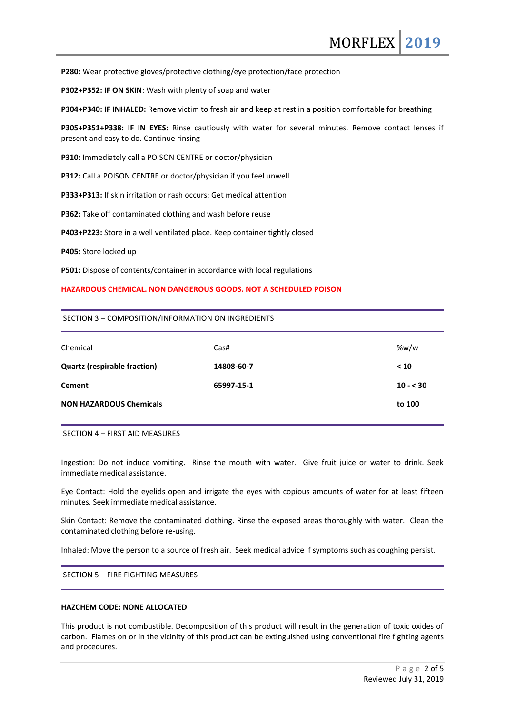**P280:** Wear protective gloves/protective clothing/eye protection/face protection

**P302+P352: IF ON SKIN**: Wash with plenty of soap and water

**P304+P340: IF INHALED:** Remove victim to fresh air and keep at rest in a position comfortable for breathing

**P305+P351+P338: IF IN EYES:** Rinse cautiously with water for several minutes. Remove contact lenses if present and easy to do. Continue rinsing

**P310:** Immediately call a POISON CENTRE or doctor/physician

**P312:** Call a POISON CENTRE or doctor/physician if you feel unwell

**P333+P313:** If skin irritation or rash occurs: Get medical attention

**P362:** Take off contaminated clothing and wash before reuse

**P403+P223:** Store in a well ventilated place. Keep container tightly closed

**P405:** Store locked up

**P501:** Dispose of contents/container in accordance with local regulations

#### **HAZARDOUS CHEMICAL. NON DANGEROUS GOODS. NOT A SCHEDULED POISON**

#### SECTION 3 – COMPOSITION/INFORMATION ON INGREDIENTS

| Chemical                            | Cas#       | %w/w      |
|-------------------------------------|------------|-----------|
| <b>Quartz (respirable fraction)</b> | 14808-60-7 | < 10      |
| <b>Cement</b>                       | 65997-15-1 | $10 - 30$ |
| <b>NON HAZARDOUS Chemicals</b>      |            | to 100    |
|                                     |            |           |

SECTION 4 – FIRST AID MEASURES

Ingestion: Do not induce vomiting. Rinse the mouth with water. Give fruit juice or water to drink. Seek immediate medical assistance.

Eye Contact: Hold the eyelids open and irrigate the eyes with copious amounts of water for at least fifteen minutes. Seek immediate medical assistance.

Skin Contact: Remove the contaminated clothing. Rinse the exposed areas thoroughly with water. Clean the contaminated clothing before re-using.

Inhaled: Move the person to a source of fresh air. Seek medical advice if symptoms such as coughing persist.

SECTION 5 – FIRE FIGHTING MEASURES

### **HAZCHEM CODE: NONE ALLOCATED**

This product is not combustible. Decomposition of this product will result in the generation of toxic oxides of carbon. Flames on or in the vicinity of this product can be extinguished using conventional fire fighting agents and procedures.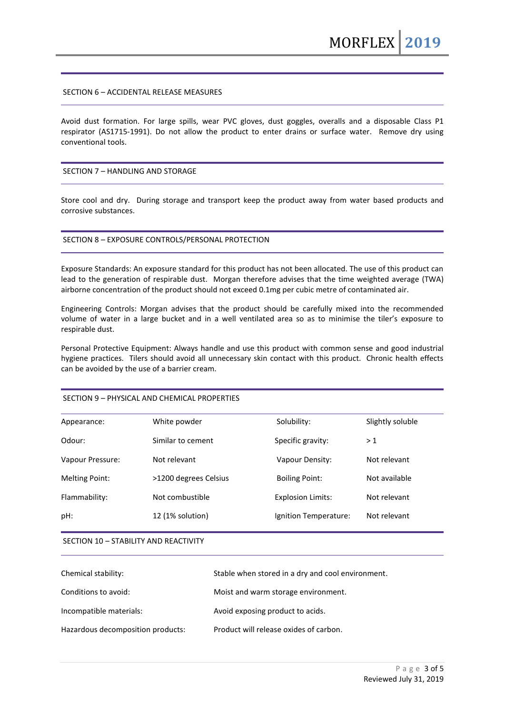### SECTION 6 – ACCIDENTAL RELEASE MEASURES

Avoid dust formation. For large spills, wear PVC gloves, dust goggles, overalls and a disposable Class P1 respirator (AS1715-1991). Do not allow the product to enter drains or surface water. Remove dry using conventional tools.

### SECTION 7 – HANDLING AND STORAGE

Store cool and dry. During storage and transport keep the product away from water based products and corrosive substances.

#### SECTION 8 – EXPOSURE CONTROLS/PERSONAL PROTECTION

Exposure Standards: An exposure standard for this product has not been allocated. The use of this product can lead to the generation of respirable dust. Morgan therefore advises that the time weighted average (TWA) airborne concentration of the product should not exceed 0.1mg per cubic metre of contaminated air.

Engineering Controls: Morgan advises that the product should be carefully mixed into the recommended volume of water in a large bucket and in a well ventilated area so as to minimise the tiler's exposure to respirable dust.

Personal Protective Equipment: Always handle and use this product with common sense and good industrial hygiene practices. Tilers should avoid all unnecessary skin contact with this product. Chronic health effects can be avoided by the use of a barrier cream.

#### SECTION 9 – PHYSICAL AND CHEMICAL PROPERTIES

| Appearance:           | White powder          | Solubility:              | Slightly soluble |
|-----------------------|-----------------------|--------------------------|------------------|
| Odour:                | Similar to cement     | Specific gravity:        | >1               |
| Vapour Pressure:      | Not relevant          | Vapour Density:          | Not relevant     |
| <b>Melting Point:</b> | >1200 degrees Celsius | <b>Boiling Point:</b>    | Not available    |
| Flammability:         | Not combustible       | <b>Explosion Limits:</b> | Not relevant     |
| pH:                   | 12 (1% solution)      | Ignition Temperature:    | Not relevant     |
|                       |                       |                          |                  |

#### SECTION 10 – STABILITY AND REACTIVITY

| Chemical stability:               | Stable when stored in a dry and cool environment. |
|-----------------------------------|---------------------------------------------------|
| Conditions to avoid:              | Moist and warm storage environment.               |
| Incompatible materials:           | Avoid exposing product to acids.                  |
| Hazardous decomposition products: | Product will release oxides of carbon.            |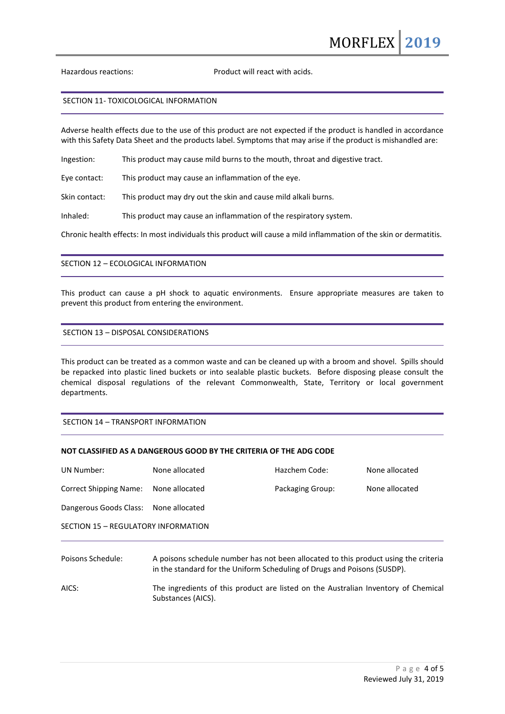Hazardous reactions: Product will react with acids.

#### SECTION 11- TOXICOLOGICAL INFORMATION

Adverse health effects due to the use of this product are not expected if the product is handled in accordance with this Safety Data Sheet and the products label. Symptoms that may arise if the product is mishandled are:

Ingestion: This product may cause mild burns to the mouth, throat and digestive tract.

Eye contact: This product may cause an inflammation of the eye.

Skin contact: This product may dry out the skin and cause mild alkali burns.

Inhaled: This product may cause an inflammation of the respiratory system.

Chronic health effects: In most individuals this product will cause a mild inflammation of the skin or dermatitis.

## SECTION 12 – ECOLOGICAL INFORMATION

This product can cause a pH shock to aquatic environments. Ensure appropriate measures are taken to prevent this product from entering the environment.

# SECTION 13 – DISPOSAL CONSIDERATIONS

This product can be treated as a common waste and can be cleaned up with a broom and shovel. Spills should be repacked into plastic lined buckets or into sealable plastic buckets. Before disposing please consult the chemical disposal regulations of the relevant Commonwealth, State, Territory or local government departments.

## SECTION 14 – TRANSPORT INFORMATION

# **NOT CLASSIFIED AS A DANGEROUS GOOD BY THE CRITERIA OF THE ADG CODE**

| <b>UN Number:</b>                      | None allocated                                                                                                      | Hazchem Code:    | None allocated |  |
|----------------------------------------|---------------------------------------------------------------------------------------------------------------------|------------------|----------------|--|
| <b>Correct Shipping Name:</b>          | None allocated                                                                                                      | Packaging Group: | None allocated |  |
| Dangerous Goods Class: None allocated  |                                                                                                                     |                  |                |  |
| SECTION 15 - REGULATORY INFORMATION    |                                                                                                                     |                  |                |  |
| المقاربان والمتعارض والمتحددة والمراكب | والرميانيم المواله ويرادي بالمرباح ويروز وإطلاحه المطموم المروروم والغمام ومواريم واسترير والرام وامور ومرموا ومرار |                  |                |  |

Poisons Schedule: A poisons schedule number has not been allocated to this product using the criteria in the standard for the Uniform Scheduling of Drugs and Poisons (SUSDP).

AICS: The ingredients of this product are listed on the Australian Inventory of Chemical Substances (AICS).